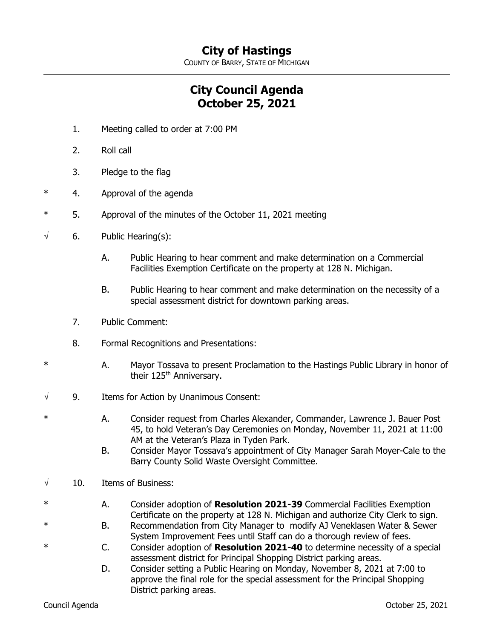## **City of Hastings**

COUNTY OF BARRY, STATE OF MICHIGAN

## **City Council Agenda October 25, 2021**

- 1. Meeting called to order at 7:00 PM
- 2. Roll call
- 3. Pledge to the flag
- \* 4. Approval of the agenda
- 5. Approval of the minutes of the October 11, 2021 meeting
- $\sqrt{6}$ . Public Hearing(s):
	- A. Public Hearing to hear comment and make determination on a Commercial Facilities Exemption Certificate on the property at 128 N. Michigan.
	- B. Public Hearing to hear comment and make determination on the necessity of a special assessment district for downtown parking areas.
	- 7. Public Comment:
	- 8. Formal Recognitions and Presentations:
- \* A. Mayor Tossava to present Proclamation to the Hastings Public Library in honor of their 125<sup>th</sup> Anniversary.
- $\sqrt{9}$ . Items for Action by Unanimous Consent:
- \* A. Consider request from Charles Alexander, Commander, Lawrence J. Bauer Post 45, to hold Veteran's Day Ceremonies on Monday, November 11, 2021 at 11:00 AM at the Veteran's Plaza in Tyden Park.
	- B. Consider Mayor Tossava's appointment of City Manager Sarah Moyer-Cale to the Barry County Solid Waste Oversight Committee.
- $\sqrt{10}$ . Items of Business:
	- \* A. Consider adoption of **Resolution 2021-39** Commercial Facilities Exemption Certificate on the property at 128 N. Michigan and authorize City Clerk to sign.
		- B. Recommendation from City Manager to modify AJ Veneklasen Water & Sewer System Improvement Fees until Staff can do a thorough review of fees.
- \* C. Consider adoption of **Resolution 2021-40** to determine necessity of a special assessment district for Principal Shopping District parking areas.
	- D. Consider setting a Public Hearing on Monday, November 8, 2021 at 7:00 to approve the final role for the special assessment for the Principal Shopping District parking areas.